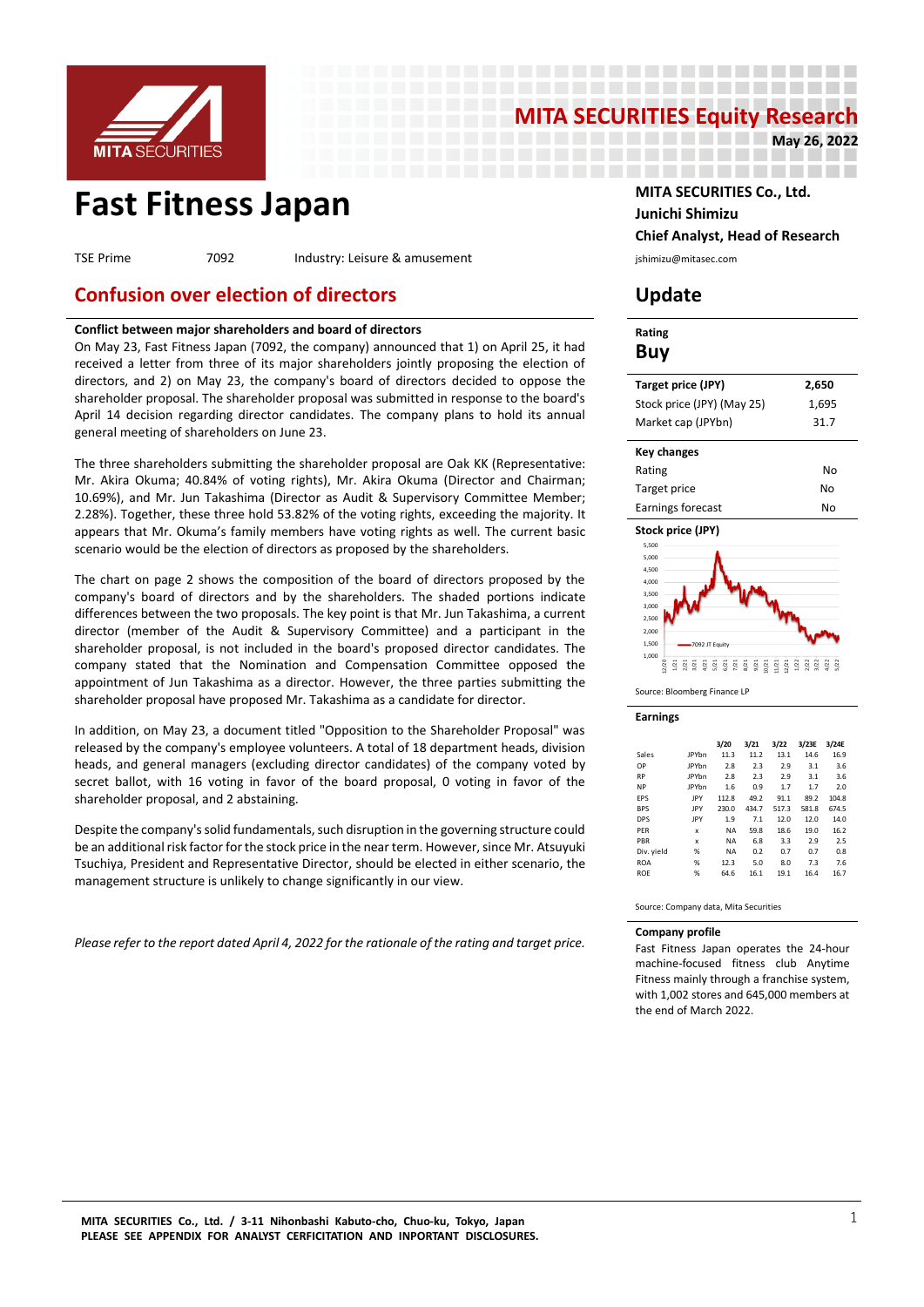

# **MITA SECURITIES Equity Research**<br>May 26, 2022

---------------------------------------

-----------------

--------------------

# **Fast Fitness Japan MITA SECURITIES Co., Ltd.**

TSE Prime 7092 Industry: Leisure & amusement industry: Leisure & amusement

# **Confusion over election of directors Update**

# **Conflict between major shareholders and board of directors**

On May 23, Fast Fitness Japan (7092, the company) announced that 1) on April 25, it had received a letter from three of its major shareholders jointly proposing the election of directors, and 2) on May 23, the company's board of directors decided to oppose the shareholder proposal. The shareholder proposal was submitted in response to the board's April 14 decision regarding director candidates. The company plans to hold its annual general meeting of shareholders on June 23.

The three shareholders submitting the shareholder proposal are Oak KK (Representative: Mr. Akira Okuma; 40.84% of voting rights), Mr. Akira Okuma (Director and Chairman; 10.69%), and Mr. Jun Takashima (Director as Audit & Supervisory Committee Member; 2.28%). Together, these three hold 53.82% of the voting rights, exceeding the majority. It appears that Mr. Okuma's family members have voting rights as well. The current basic scenario would be the election of directors as proposed by the shareholders.

The chart on page 2 shows the composition of the board of directors proposed by the company's board of directors and by the shareholders. The shaded portions indicate differences between the two proposals. The key point is that Mr. Jun Takashima, a current director (member of the Audit & Supervisory Committee) and a participant in the shareholder proposal, is not included in the board's proposed director candidates. The company stated that the Nomination and Compensation Committee opposed the appointment of Jun Takashima as a director. However, the three parties submitting the shareholder proposal have proposed Mr. Takashima as a candidate for director.

In addition, on May 23, a document titled "Opposition to the Shareholder Proposal" was released by the company's employee volunteers. A total of 18 department heads, division heads, and general managers (excluding director candidates) of the company voted by secret ballot, with 16 voting in favor of the board proposal, 0 voting in favor of the shareholder proposal, and 2 abstaining.

Despite the company's solid fundamentals, such disruption in the governing structure could be an additional risk factor for the stock price in the near term. However, since Mr. Atsuyuki Tsuchiya, President and Representative Director, should be elected in either scenario, the management structure is unlikely to change significantly in our view.

*Please refer to the report dated April 4, 2022 for the rationale of the rating and target price.* 

**Junichi Shimizu Chief Analyst, Head of Research**

**May 26, 2022**

| Rating<br>Buy              |       |
|----------------------------|-------|
| Target price (JPY)         | 2,650 |
| Stock price (JPY) (May 25) | 1,695 |
| Market cap (JPYbn)         | 31.7  |
| <b>Key changes</b>         |       |
| Rating                     | No    |
| Target price               | No    |
| Earnings forecast          | No    |
| Stock price (JPY)          |       |
| 5,500                      |       |
| 5,000                      |       |
| 4.500<br>4,000             |       |
| 3,500                      |       |
| 3,000                      |       |
| 2,500                      |       |
| 2.000                      |       |

Source: Bloomberg Finance LP

7092 JT Equity

#### **Earnings**

1,000 1,500

|            |              | 3/20      | 3/21  | 3/22  | 3/23E | 3/24E |
|------------|--------------|-----------|-------|-------|-------|-------|
| Sales      | <b>IPYbn</b> | 11.3      | 11.2  | 13.1  | 14.6  | 16.9  |
| OP         | <b>IPYbn</b> | 2.8       | 2.3   | 2.9   | 3.1   | 3.6   |
| <b>RP</b>  | <b>JPYbn</b> | 2.8       | 2.3   | 2.9   | 3.1   | 3.6   |
| <b>NP</b>  | <b>IPYbn</b> | 1.6       | 0.9   | 1.7   | 1.7   | 2.0   |
| EPS        | JPY          | 112.8     | 49.2  | 91.1  | 89.2  | 104.8 |
| <b>BPS</b> | IPY          | 230.0     | 434.7 | 517.3 | 581.8 | 674.5 |
| <b>DPS</b> | IPY          | 1.9       | 7.1   | 12.0  | 12.0  | 14.0  |
| PFR        | x            | <b>NA</b> | 59.8  | 18.6  | 19.0  | 16.2  |
| PBR        | x            | <b>NA</b> | 6.8   | 3.3   | 2.9   | 2.5   |
| Div. yield | %            | <b>NA</b> | 0.2   | 0.7   | 0.7   | 0.8   |
| <b>ROA</b> | %            | 12.3      | 5.0   | 8.0   | 7.3   | 7.6   |
| <b>ROE</b> | %            | 64.6      | 16.1  | 19.1  | 16.4  | 16.7  |

12/20 1/21 2/21 3/21 4/21 5/21 6/21 7/21 8/21 9/21 10/21 11/21 12/21 1/22 2/22 3/22 4/22 5/22

Source: Company data, Mita Securities

#### **Company profile**

Fast Fitness Japan operates the 24-hour machine-focused fitness club Anytime Fitness mainly through a franchise system, with 1,002 stores and 645,000 members at the end of March 2022.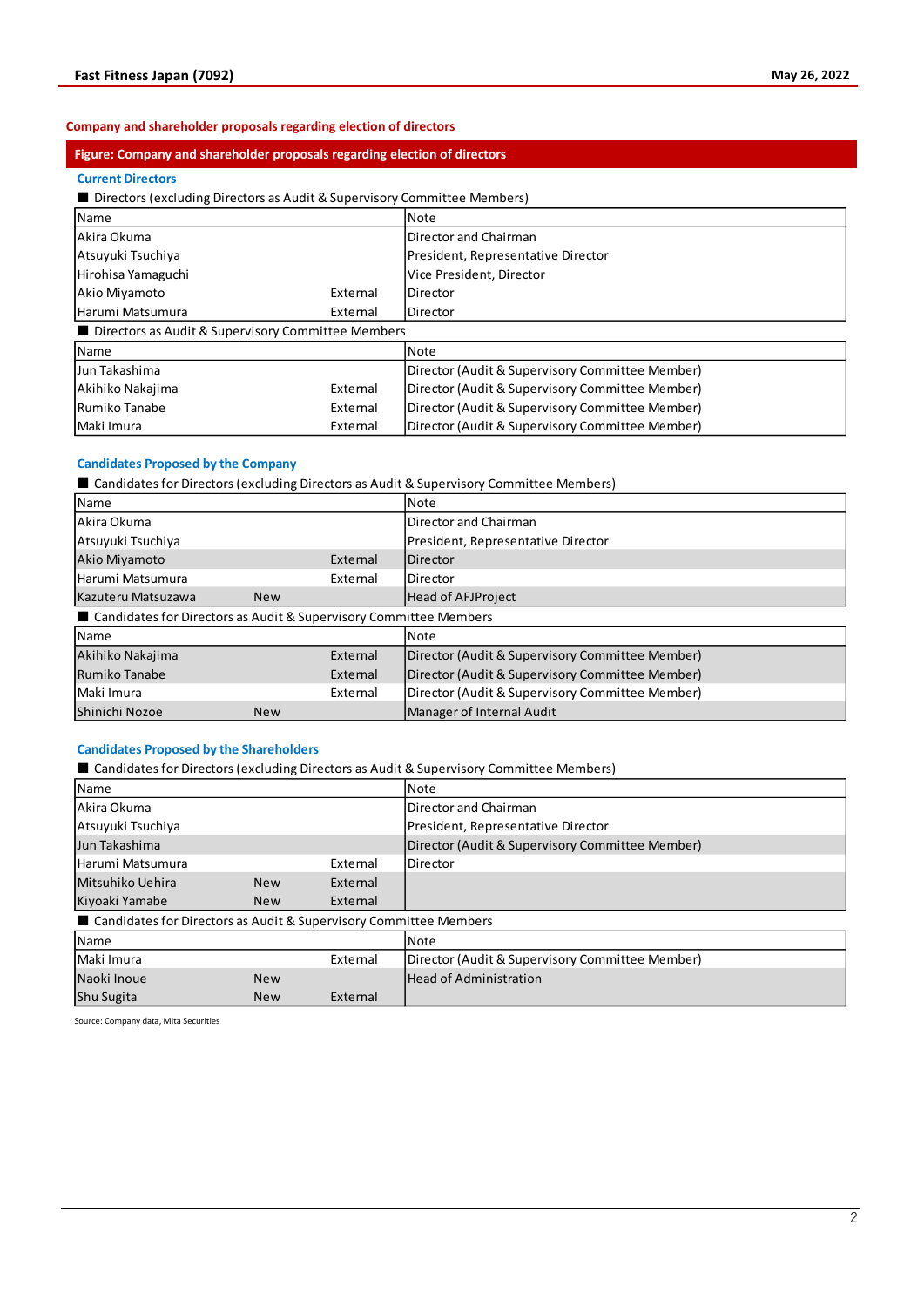# **Company and shareholder proposals regarding election of directors**

# **Figure: Company and shareholder proposals regarding election of directors**

# **Current Directors**

■ Directors (excluding Directors as Audit & Supervisory Committee Members)

| Name                                                 |          | Note                                            |
|------------------------------------------------------|----------|-------------------------------------------------|
| Akira Okuma                                          |          | Director and Chairman                           |
| Atsuvuki Tsuchiya                                    |          | President, Representative Director              |
| Hirohisa Yamaguchi                                   |          | Vice President, Director                        |
| Akio Miyamoto                                        | External | <b>Director</b>                                 |
| Harumi Matsumura                                     | External | Director                                        |
| ■ Directors as Audit & Supervisory Committee Members |          |                                                 |
| Name                                                 |          | Note                                            |
| Jun Takashima                                        |          | Director (Audit & Supervisory Committee Member) |
| Akihiko Nakajima                                     | External | Director (Audit & Supervisory Committee Member) |
| Rumiko Tanabe                                        | External | Director (Audit & Supervisory Committee Member) |
| Maki Imura                                           | External | Director (Audit & Supervisory Committee Member) |

# **Candidates Proposed by the Company**

■ Candidates for Directors (excluding Directors as Audit & Supervisory Committee Members)

| Name                                                                |            | Note                                            |
|---------------------------------------------------------------------|------------|-------------------------------------------------|
| Akira Okuma                                                         |            | Director and Chairman                           |
| Atsuyuki Tsuchiya                                                   |            | President, Representative Director              |
| Akio Miyamoto                                                       | External   | Director                                        |
| Harumi Matsumura                                                    | External   | Director                                        |
| Kazuteru Matsuzawa                                                  | <b>New</b> | <b>Head of AFJProject</b>                       |
| ■ Candidates for Directors as Audit & Supervisory Committee Members |            |                                                 |
| Name                                                                |            | Note                                            |
| Akihiko Nakajima                                                    | External   | Director (Audit & Supervisory Committee Member) |
| Rumiko Tanabe                                                       | External   | Director (Audit & Supervisory Committee Member) |
| Maki Imura                                                          | External   | Director (Audit & Supervisory Committee Member) |
| Shinichi Nozoe                                                      | <b>New</b> | Manager of Internal Audit                       |

# **Candidates Proposed by the Shareholders**

■ Candidates for Directors (excluding Directors as Audit & Supervisory Committee Members)

| Name                                                                |            |          | Note                                            |
|---------------------------------------------------------------------|------------|----------|-------------------------------------------------|
| Akira Okuma                                                         |            |          | Director and Chairman                           |
| Atsuyuki Tsuchiya                                                   |            |          | President, Representative Director              |
| Jun Takashima                                                       |            |          | Director (Audit & Supervisory Committee Member) |
| Harumi Matsumura                                                    |            | External | Director                                        |
| Mitsuhiko Uehira                                                    | <b>New</b> | External |                                                 |
| Kiyoaki Yamabe                                                      | <b>New</b> | External |                                                 |
| ■ Candidates for Directors as Audit & Supervisory Committee Members |            |          |                                                 |
| Name                                                                |            |          | Note                                            |
| Maki Imura                                                          |            | External | Director (Audit & Supervisory Committee Member) |
| Naoki Inoue                                                         | <b>New</b> |          | <b>Head of Administration</b>                   |
| Shu Sugita                                                          | <b>New</b> | External |                                                 |

Source: Company data, Mita Securities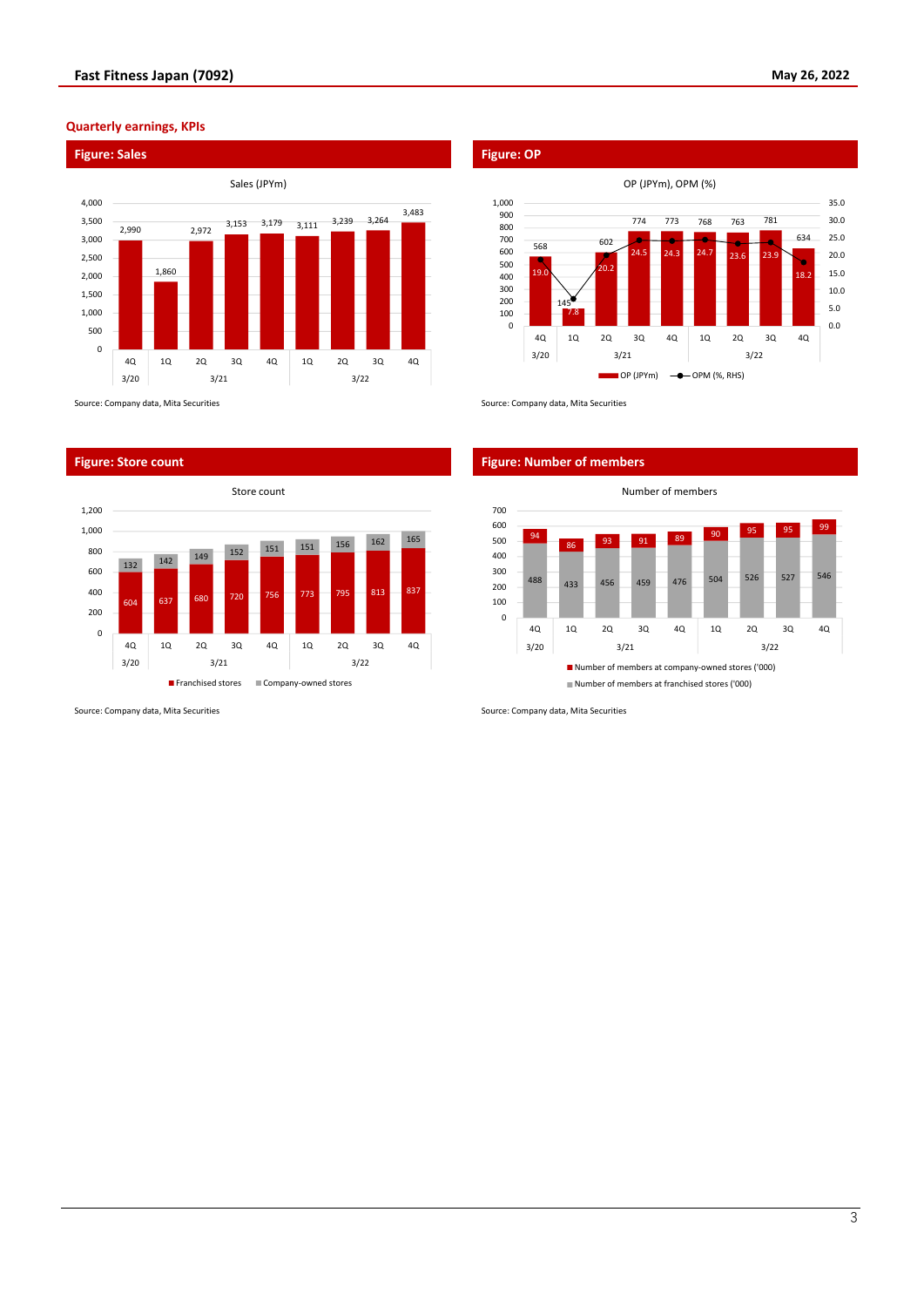# **Quarterly earnings, KPIs**



Source: Company data, Mita Securities Source: Company data, Mita Securities Source: Company data, Mita Securities



Source: Company data, Mita Securities Source: Company data, Mita Securities Source: Company data, Mita Securities

OP (JPYm), OPM (%) 1,000 35.0 900 774 773 768 763 781 30.0 800 634 25.0 700 602 ä 568 600 20.0 24.5 24.3  $24.7$  23.6 23.9 ó 500 20.2 15.0 400 19.0 18.2 300 10.0 200 14 5.0 100 7.8 0 0.0 4Q 1Q 2Q 3Q 4Q 1Q 2Q 3Q 4Q 3/20 3/21 3/22  $\Box$  OP (JPYm)  $\rightarrow$  OPM (%, RHS)

## **Figure: Store count Figure: Number of members**

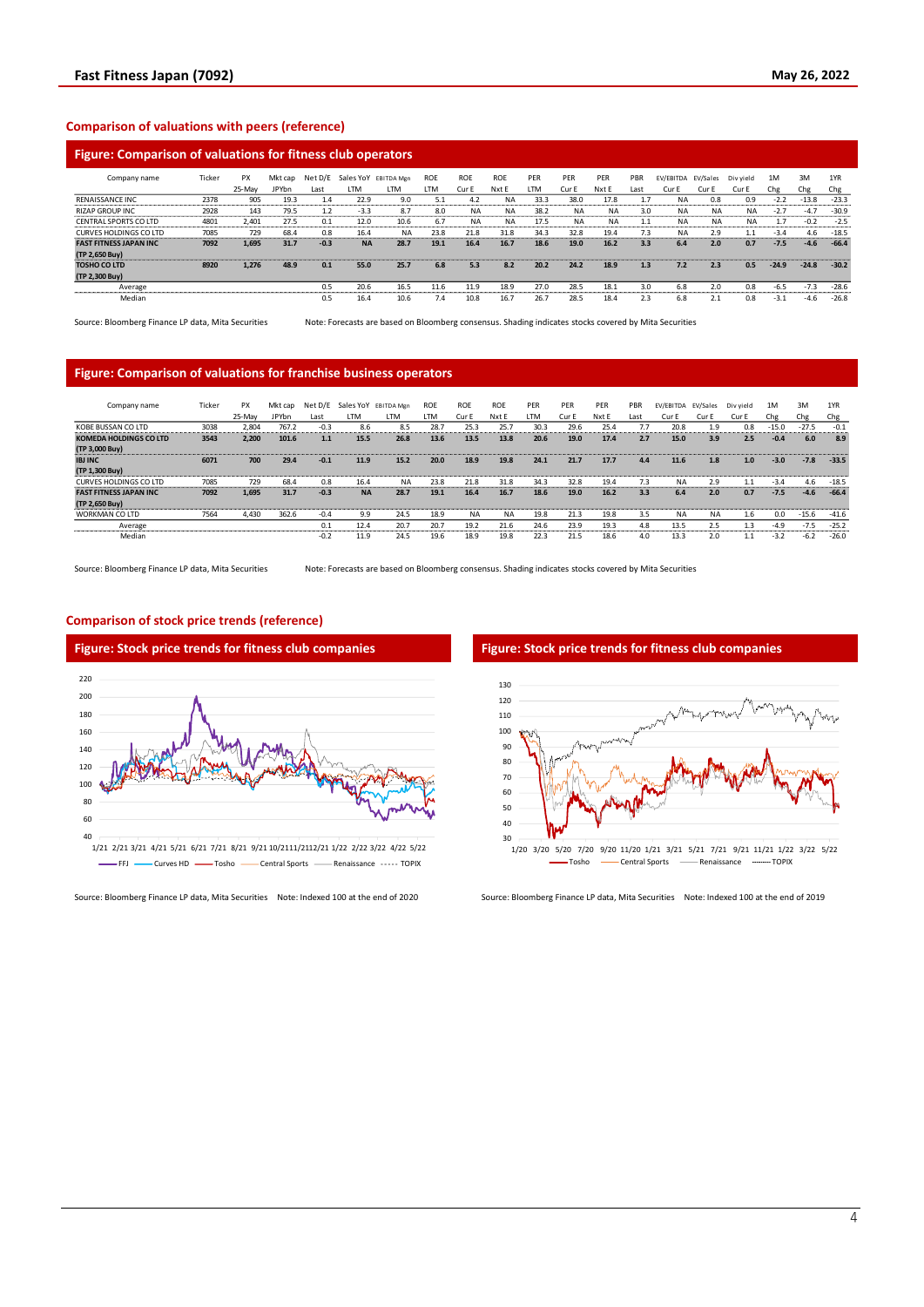# **Comparison of valuations with peers (reference)**

# **Figure: Comparison of valuations for fitness club operators**

| Company name                  | Ticker | PX     | Mkt cap | Net D/E | Sales YoY | EBITDA Men | <b>ROE</b> | <b>ROE</b> | <b>ROE</b> | PER  | PER       | PER       | PBR  | EV/EBITDA | EV/Sales  | Div vield | 1M      | 3M      | 1YR     |
|-------------------------------|--------|--------|---------|---------|-----------|------------|------------|------------|------------|------|-----------|-----------|------|-----------|-----------|-----------|---------|---------|---------|
|                               |        | 25-May | JPYbn   | Last    | ιTΜ       | LTM        | <b>LTM</b> | Cur I      | Nxt E      | LTM  | Cur E     | Nxt E     | Last | Cur E     | Cur E     | Cur E     | Che     | Chg     | Chg     |
| <b>RENAISSANCE INC.</b>       | 2378   | 905    | 19.3    | 1.4     | 22.9      | 9.0        | 5.1        | 4.2        | <b>NA</b>  | 33.3 | 38.0      | 17.8      |      | <b>NA</b> | 0.8       | 0.9       | $-2.2$  | $-13.8$ | $-23.3$ |
| <b>RIZAP GROUP INC.</b>       | 2928   | 143    | 79.5    | 1.2     | $-3.3$    | 8.7        | 8.0        | <b>NA</b>  | <b>NA</b>  | 38.2 | <b>NA</b> | <b>NA</b> | 3.0  | <b>NA</b> | <b>NA</b> | <b>NA</b> | $-2.7$  | $-4.7$  | $-30.9$ |
| <b>CENTRAL SPORTS CO LTD</b>  | 4801   | 2.401  | 27.5    | 0.1     | 12.0      | 10.6       | 6.7        | <b>NA</b>  | <b>NA</b>  | 17.5 | <b>NA</b> | <b>NA</b> |      | <b>NA</b> | <b>NA</b> | <b>NA</b> |         | $-0.2$  | $-2.5$  |
| <b>CURVES HOLDINGS CO LTD</b> | 7085   | 729    | 68.4    | 0.8     | 16.4      | <b>NA</b>  | 23.8       | 21.8       | 31.8       | 34.3 | 32.8      | 19.4      | 7.3  | <b>NA</b> | 2.9       |           | $-3.4$  | 4.6     | $-18.5$ |
| <b>FAST FITNESS JAPAN INC</b> | 7092   | 1.695  | 31.7    | $-0.3$  | <b>NA</b> | 28.7       | 19.1       | 16.4       | 16.7       | 18.6 | 19.0      | 16.2      | 3.3  | 6.4       | 2.0       | 0.7       | $-7.5$  | $-4.6$  | $-66.4$ |
| (TP 2,650 Buy)                |        |        |         |         |           |            |            |            |            |      |           |           |      |           |           |           |         |         |         |
| <b>TOSHO CO LTD</b>           | 8920   | 1.276  | 48.9    | 0.1     | 55.0      | 25.7       | 6.8        | 5.3        | 8.2        | 20.2 | 24.2      | 18.9      | 1.3  | 7.2       | 2.3       | 0.5       | $-24.9$ | $-24.8$ | $-30.2$ |
| (TP 2,300 Buy)                |        |        |         |         |           |            |            |            |            |      |           |           |      |           |           |           |         |         |         |
| Average                       |        |        |         | 0.5     | 20.6      | 16.5       | 11.6       | 11.9       | 18.9       | 27.0 | 28.5      | 18.1      | 3.0  | 6.8       | 2.0       | 0.8       | -6.5    | $-7.3$  | $-28.6$ |
| Median                        |        |        |         | 0.5     | 16.4      | 10.6       | 7.4        | 10.8       | 16.7       | 26.7 | 28.5      | 18.4      | 2.3  | 6.8       | 2.1       | 0.8       | $-3.1$  | $-4.6$  | $-26.8$ |

Source: Bloomberg Finance LP data, Mita Securities Note: Forecasts are based on Bloomberg consensus. Shading indicates stocks covered by Mita Securities

### **Figure: Comparison of valuations for franchise business operators**

| Company name                   | Ticker | <b>PX</b> | Mkt cap      | Net D/E |           | Sales YoY EBITDA Mgn | <b>ROE</b> | <b>ROE</b> | <b>ROE</b> | PER       | PER   | PER   | PBR  | EV/EBITDA | EV/Sales | Div vield | 1M      | 3M      | 1YR        |
|--------------------------------|--------|-----------|--------------|---------|-----------|----------------------|------------|------------|------------|-----------|-------|-------|------|-----------|----------|-----------|---------|---------|------------|
|                                |        | 25-May    | <b>JPYbn</b> | Last    | <b>TM</b> | I TM                 | LTM        | Cur F      | Nxt F      | <b>TM</b> | Cur F | Nxt E | Last | Cur E     | Cur E    | Cur E     | Chg     | Chg     | Chg        |
| KOBE BUSSAN CO LTD             | 3038   | 2.804     | 767.2        | $-0.3$  | 8.6       | 8.5                  | 28.7       | 25.3       | 25.7       | 30.3      | 29.6  | 25.4  |      | 20.8      | 1.9      | 0.8       | $-15.0$ | $-27.5$ | $-0.1$<br> |
| <b>KOMEDA HOLDINGS CO LTD</b>  | 3543   | 2.200     | 101.6        | 1.1     | 15.5      | 26.8                 | 13.6       | 13.5       | 13.8       | 20.6      | 19.0  | 17.4  | 2.7  | 15.0      | 3.9      | 2.5       | $-0.4$  | 6.0     | 8.9        |
| (TP 3,000 Buy)                 |        |           |              |         |           |                      |            |            |            |           |       |       |      |           |          |           |         |         |            |
| <b>IBJ INC</b>                 | 6071   | 700       | 29.4         | $-0.1$  | 11.9      | 15.2                 | 20.0       | 18.9       | 19.8       | 24.1      | 21.7  | 17.7  | 4.4  | 11.6      | 1.8      | 1.0       | $-3.0$  | $-7.8$  | $-33.5$    |
| (TP 1,300 Buy)                 |        |           |              |         |           |                      |            |            |            |           |       |       |      |           |          |           |         |         |            |
| CURVES HOLDINGS CO LTD         | 7085   | 729       | 68.4         | 0.8     | 16.4      | NA                   | 23.8       | 21.8       | 31.8       | 34.3      | 32.8  | 19.4  | 7.3  | <b>NA</b> | 2.9      |           | $-3.4$  | 4.6     | $-18.5$    |
| <b>FAST FITNESS JAPAN INC.</b> | 7092   | 1,695     | 31.7         | $-0.3$  | <b>NA</b> | 28.7                 | 19.1       | 16.4       | 16.7       | 18.6      | 19.0  | 16.2  | 3.3  | 6.4       | 2.0      | 0.7       | $-7.5$  | $-4.6$  | $-66.4$    |
| (TP 2,650 Buy)                 |        |           |              |         |           |                      |            |            |            |           |       |       |      |           |          |           |         |         |            |
| <b>WORKMAN CO LTD</b>          | 7564   | 4.430     | 362.6        | $-0.4$  | 9.9       | 24.5                 | 18.9       | <b>NA</b>  | <b>NA</b>  | 19.8      | 21.3  | 19.8  | 3.5  | <b>NA</b> | NA       | $1.6\,$   | 0.0     | $-15.6$ | $-41.6$    |
| Average                        |        |           |              | 0.1     | 12.4      | 20.7                 | 20.7       | 19.2       | 21.6       | 24.6      | 23.9  | 19.3  | 4.8  | 13.5      | 2.5      | 1.3       | $-4.9$  | $-7.5$  | $-25.2$    |
| Median                         |        |           |              | $-0.2$  | 11.9      | 24.5                 | 19.6       | 18.9       | 19.8       | 22.3      | 21.5  | 18.6  | 4.0  | 13.3      | 2.0      | 1.1       | $-3.2$  | $-6.2$  | $-26.0$    |

Source: Bloomberg Finance LP data, Mita Securities Note: Forecasts are based on Bloomberg consensus. Shading indicates stocks covered by Mita Securities

# **Comparison of stock price trends (reference)**



Source: Bloomberg Finance LP data, Mita Securities Note: Indexed 100 at the end of 2020 Source: Bloomberg Finance LP data, Mita Securities Note: Indexed 100 at the end of 2019